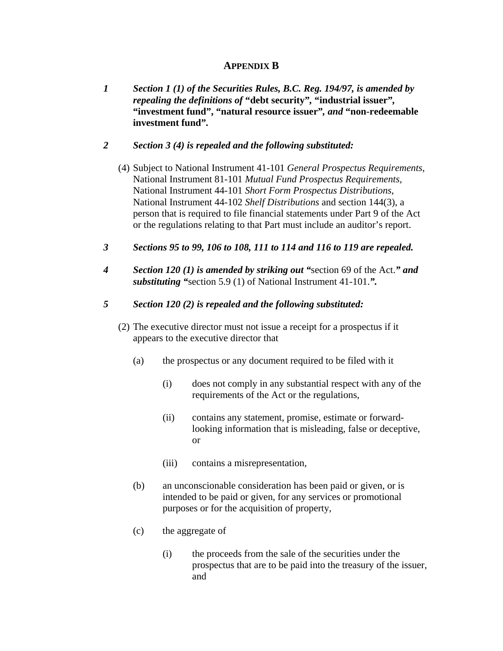# **APPENDIX B**

*1 Section 1 (1) of the Securities Rules, B.C. Reg. 194/97, is amended by repealing the definitions of* **"debt security"***,* **"industrial issuer"***,*  **"investment fund", "natural resource issuer"***, and* **"non-redeemable investment fund"***.*

# *2 Section 3 (4) is repealed and the following substituted:*

- (4) Subject to National Instrument 41-101 *General Prospectus Requirements*, National Instrument 81-101 *Mutual Fund Prospectus Requirements,*  National Instrument 44-101 *Short Form Prospectus Distributions*, National Instrument 44-102 *Shelf Distributions* and section 144(3), a person that is required to file financial statements under Part 9 of the Act or the regulations relating to that Part must include an auditor's report.
- *3 Sections 95 to 99, 106 to 108, 111 to 114 and 116 to 119 are repealed.*
- *4 Section 120 (1) is amended by striking out "*section 69 of the Act.*" and substituting "*section 5.9 (1) of National Instrument 41-101.*".*

# *5 Section 120 (2) is repealed and the following substituted:*

- (2) The executive director must not issue a receipt for a prospectus if it appears to the executive director that
	- (a) the prospectus or any document required to be filed with it
		- (i) does not comply in any substantial respect with any of the requirements of the Act or the regulations,
		- (ii) contains any statement, promise, estimate or forwardlooking information that is misleading, false or deceptive, or
		- (iii) contains a misrepresentation,
	- (b) an unconscionable consideration has been paid or given, or is intended to be paid or given, for any services or promotional purposes or for the acquisition of property,
	- (c) the aggregate of
		- (i) the proceeds from the sale of the securities under the prospectus that are to be paid into the treasury of the issuer, and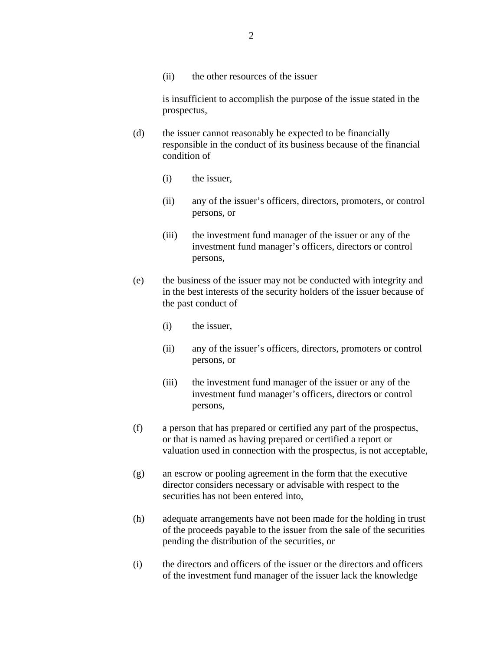(ii) the other resources of the issuer

is insufficient to accomplish the purpose of the issue stated in the prospectus,

- (d) the issuer cannot reasonably be expected to be financially responsible in the conduct of its business because of the financial condition of
	- (i) the issuer,
	- (ii) any of the issuer's officers, directors, promoters, or control persons, or
	- (iii) the investment fund manager of the issuer or any of the investment fund manager's officers, directors or control persons,
- (e) the business of the issuer may not be conducted with integrity and in the best interests of the security holders of the issuer because of the past conduct of
	- (i) the issuer,
	- (ii) any of the issuer's officers, directors, promoters or control persons, or
	- (iii) the investment fund manager of the issuer or any of the investment fund manager's officers, directors or control persons,
- (f) a person that has prepared or certified any part of the prospectus, or that is named as having prepared or certified a report or valuation used in connection with the prospectus, is not acceptable,
- (g) an escrow or pooling agreement in the form that the executive director considers necessary or advisable with respect to the securities has not been entered into,
- (h) adequate arrangements have not been made for the holding in trust of the proceeds payable to the issuer from the sale of the securities pending the distribution of the securities, or
- (i) the directors and officers of the issuer or the directors and officers of the investment fund manager of the issuer lack the knowledge